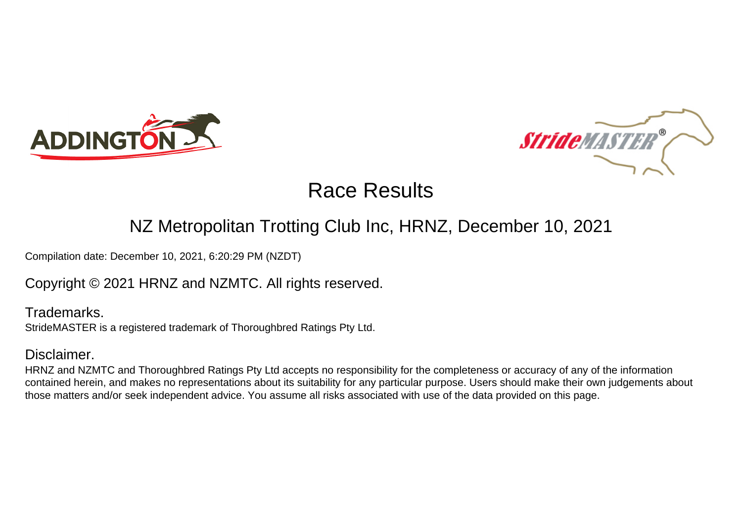



#### NZ Metropolitan Trotting Club Inc, HRNZ, December 10, 2021

Compilation date: December 10, 2021, 6:20:29 PM (NZDT)

#### Copyright © 2021 HRNZ and NZMTC. All rights reserved.

Trademarks. StrideMASTER is a registered trademark of Thoroughbred Ratings Pty Ltd.

#### Disclaimer.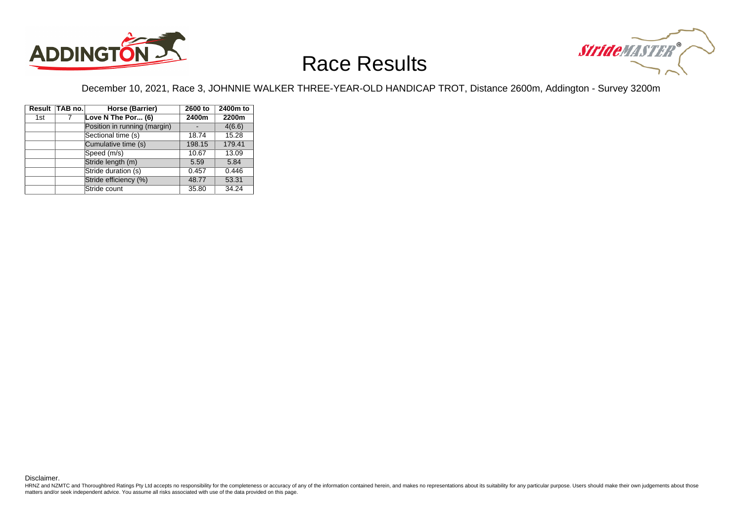



December 10, 2021, Race 3, JOHNNIE WALKER THREE-YEAR-OLD HANDICAP TROT, Distance 2600m, Addington - Survey 3200m

|     | Result TAB no. | Horse (Barrier)              | 2600 to | 2400m to |
|-----|----------------|------------------------------|---------|----------|
| 1st | 7              | Love N The Por (6)           | 2400m   | 2200m    |
|     |                | Position in running (margin) |         | 4(6.6)   |
|     |                | Sectional time (s)           | 18.74   | 15.28    |
|     |                | Cumulative time (s)          | 198.15  | 179.41   |
|     |                | Speed (m/s)                  | 10.67   | 13.09    |
|     |                | Stride length (m)            | 5.59    | 5.84     |
|     |                | Stride duration (s)          | 0.457   | 0.446    |
|     |                | Stride efficiency (%)        | 48.77   | 53.31    |
|     |                | Stride count                 | 35.80   | 34.24    |

Disclaimer.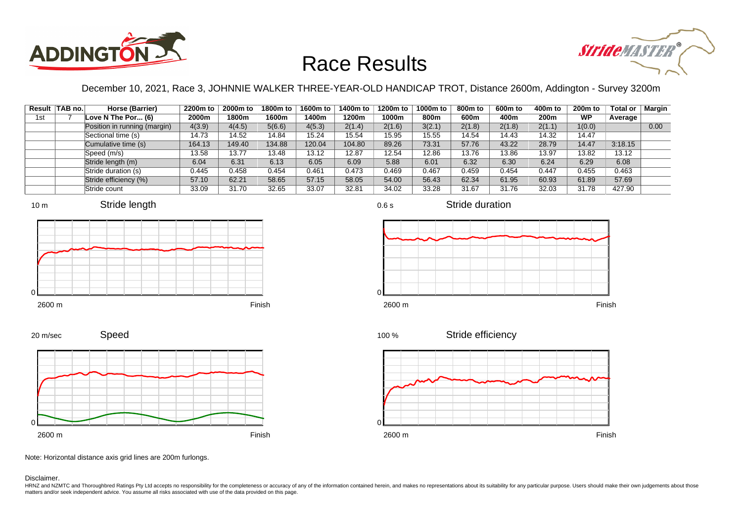



December 10, 2021, Race 3, JOHNNIE WALKER THREE-YEAR-OLD HANDICAP TROT, Distance 2600m, Addington - Survey 3200m

|     | Result TAB no. | Horse (Barrier)              | 2200m to | 2000m to | 1800m to | 1600m to | 1400m to | 1200m to | 1000m to | 800m to | 600m to | 400m to | 200 <sub>m</sub> to | <b>Total or</b> | Margin |
|-----|----------------|------------------------------|----------|----------|----------|----------|----------|----------|----------|---------|---------|---------|---------------------|-----------------|--------|
| 1st |                | Love N The Por $(6)$         | 2000m    | 1800m    | 1600m    | 1400m    | 1200m    | 1000m    | 800m     | 600m    | 400m    | 200m    | <b>WP</b>           | Average         |        |
|     |                | Position in running (margin) | 4(3.9)   | 4(4.5)   | 5(6.6)   | 4(5.3)   | 2(1.4)   | 2(1.6)   | 3(2.1)   | 2(1.8)  | 2(1.8)  | 2(1.1)  | 1(0.0)              |                 | 0.00   |
|     |                | Sectional time (s)           | 14.73    | 14.52    | 14.84    | 15.24    | 15.54    | 15.95    | 15.55    | 14.54   | 14.43   | 14.32   | 14.47               |                 |        |
|     |                | Cumulative time (s)          | 164.13   | 149.40   | 134.88   | 120.04   | 104.80   | 89.26    | 73.31    | 57.76   | 43.22   | 28.79   | 14.47               | 3:18.15         |        |
|     |                | Speed (m/s)                  | 13.58    | 13.77    | 13.48    | 13.12    | 12.87    | 12.54    | 12.86    | 13.76   | 13.86   | 13.97   | 13.82               | 13.12           |        |
|     |                | Stride length (m)            | 6.04     | 6.31     | 6.13     | 6.05     | 6.09     | 5.88     | 6.01     | 6.32    | 6.30    | 6.24    | 6.29                | 6.08            |        |
|     |                | Stride duration (s)          | 0.445    | 0.458    | 0.454    | 0.461    | 0.473    | 0.469    | 0.467    | 0.459   | 0.454   | 0.447   | 0.455               | 0.463           |        |
|     |                | Stride efficiency (%)        | 57.10    | 62.21    | 58.65    | 57.15    | 58.05    | 54.00    | 56.43    | 62.34   | 61.95   | 60.93   | 61.89               | 57.69           |        |
|     |                | Stride count                 | 33.09    | 31.70    | 32.65    | 33.07    | 32.81    | 34.02    | 33.28    | 31.67   | 31.76   | 32.03   | 31.78               | 427.90          |        |









Stride duration





0.6 s

 $\Omega$ 







Note: Horizontal distance axis grid lines are 200m furlongs.

Speed

Disclaimer.

20 m/sec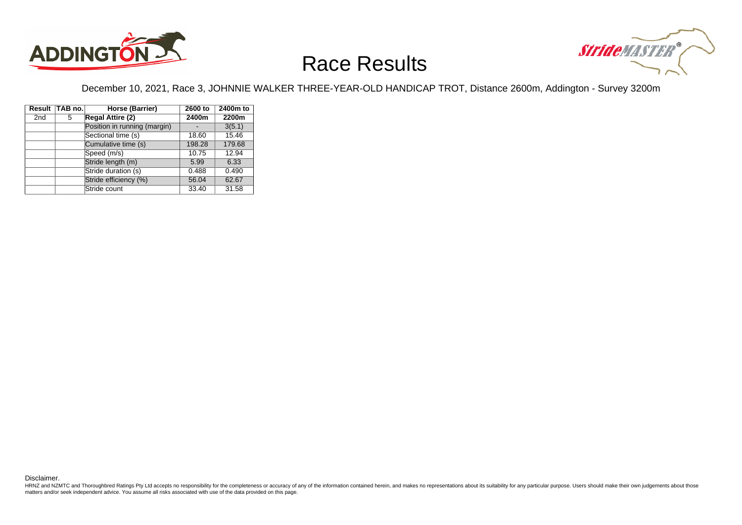



December 10, 2021, Race 3, JOHNNIE WALKER THREE-YEAR-OLD HANDICAP TROT, Distance 2600m, Addington - Survey 3200m

|                 | Result TAB no. | Horse (Barrier)              | 2600 to | 2400m to |
|-----------------|----------------|------------------------------|---------|----------|
| 2 <sub>nd</sub> | 5              | <b>Regal Attire (2)</b>      | 2400m   | 2200m    |
|                 |                | Position in running (margin) |         | 3(5.1)   |
|                 |                | Sectional time (s)           | 18.60   | 15.46    |
|                 |                | Cumulative time (s)          | 198.28  | 179.68   |
|                 |                | Speed (m/s)                  | 10.75   | 12.94    |
|                 |                | Stride length (m)            | 5.99    | 6.33     |
|                 |                | Stride duration (s)          | 0.488   | 0.490    |
|                 |                | Stride efficiency (%)        | 56.04   | 62.67    |
|                 |                | Stride count                 | 33.40   | 31.58    |

Disclaimer.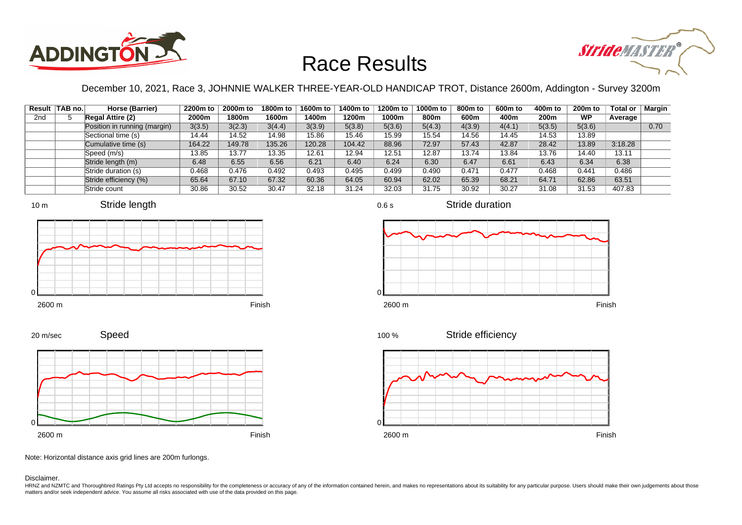



December 10, 2021, Race 3, JOHNNIE WALKER THREE-YEAR-OLD HANDICAP TROT, Distance 2600m, Addington - Survey 3200m

0.6 s

|                 | Result   TAB no. | Horse (Barrier)              | 2200m to | 2000m to | 1800m to | 1600m to | 1400m to | 1200m to | 1000m to | 800m to | 600m to | 400m to | 200 <sub>m</sub> to | Total or | Margin |
|-----------------|------------------|------------------------------|----------|----------|----------|----------|----------|----------|----------|---------|---------|---------|---------------------|----------|--------|
| 2 <sub>nd</sub> |                  | <b>Regal Attire (2)</b>      | 2000m    | 1800m    | 1600m    | l 400m   | 1200m    | 1000m    | 800m     | 600m    | 400m    | 200m    | <b>WP</b>           | Average  |        |
|                 |                  | Position in running (margin) | 3(3.5)   | 3(2.3)   | 3(4.4)   | 3(3.9)   | 5(3.8)   | 5(3.6)   | 5(4.3)   | 4(3.9)  | 4(4.1)  | 5(3.5)  | 5(3.6)              |          | 0.70   |
|                 |                  | Sectional time (s)           | 14.44    | 14.52    | 14.98    | 15.86    | 15.46    | 15.99    | 15.54    | 14.56   | 14.45   | 14.53   | 13.89               |          |        |
|                 |                  | Cumulative time (s)          | 164.22   | 149.78   | 135.26   | 120.28   | 104.42   | 88.96    | 72.97    | 57.43   | 42.87   | 28.42   | 13.89               | 3:18.28  |        |
|                 |                  | Speed (m/s)                  | 13.85    | 13.77    | 13.35    | 12.61    | 12.94    | 12.51    | 12.87    | 13.74   | 13.84   | 13.76   | 14.40               | 13.11    |        |
|                 |                  | Stride length (m)            | 6.48     | 6.55     | 6.56     | 6.21     | 6.40     | 6.24     | 6.30     | 6.47    | 6.61    | 6.43    | 6.34                | 6.38     |        |
|                 |                  | Stride duration (s)          | 0.468    | 0.476    | 0.492    | 0.493    | 0.495    | 0.499    | 0.490    | 0.471   | 0.477   | 0.468   | 0.441               | 0.486    |        |
|                 |                  | Stride efficiency (%)        | 65.64    | 67.10    | 67.32    | 60.36    | 64.05    | 60.94    | 62.02    | 65.39   | 68.21   | 64.71   | 62.86               | 63.51    |        |
|                 |                  | Stride count                 | 30.86    | 30.52    | 30.47    | 32.18    | 31.24    | 32.03    | 31.75    | 30.92   | 30.27   | 31.08   | 31.53               | 407.83   |        |







Stride duration









Note: Horizontal distance axis grid lines are 200m furlongs.

Speed

Disclaimer.

20 m/sec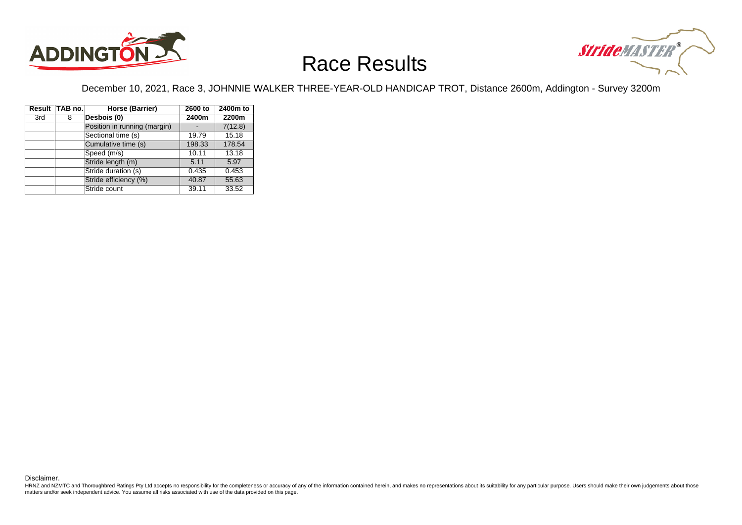



December 10, 2021, Race 3, JOHNNIE WALKER THREE-YEAR-OLD HANDICAP TROT, Distance 2600m, Addington - Survey 3200m

|     | Result TAB no. | Horse (Barrier)              | 2600 to | 2400m to |
|-----|----------------|------------------------------|---------|----------|
| 3rd | 8              | Desbois (0)                  | 2400m   | 2200m    |
|     |                | Position in running (margin) |         | 7(12.8)  |
|     |                | Sectional time (s)           | 19.79   | 15.18    |
|     |                | Cumulative time (s)          | 198.33  | 178.54   |
|     |                | Speed (m/s)                  | 10.11   | 13.18    |
|     |                | Stride length (m)            | 5.11    | 5.97     |
|     |                | Stride duration (s)          | 0.435   | 0.453    |
|     |                | Stride efficiency (%)        | 40.87   | 55.63    |
|     |                | Stride count                 | 39.11   | 33.52    |

Disclaimer.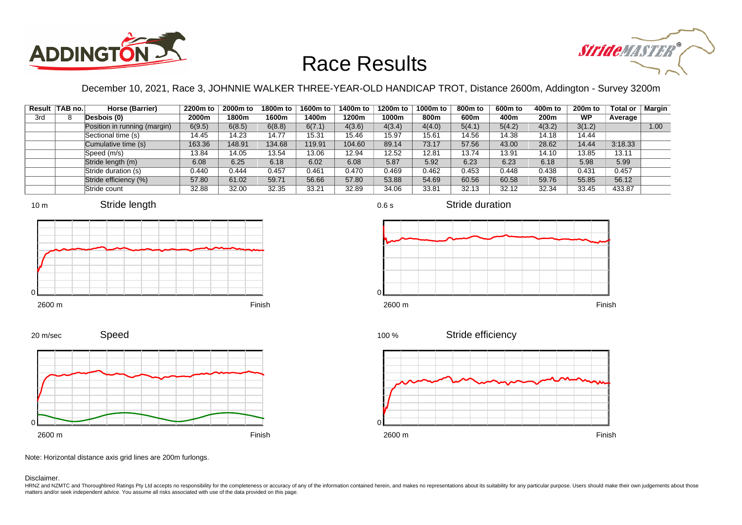



December 10, 2021, Race 3, JOHNNIE WALKER THREE-YEAR-OLD HANDICAP TROT, Distance 2600m, Addington - Survey 3200m

|     | Result TAB no. | Horse (Barrier)              | 2200m to | 2000m to | 1800m to | 1600m to | 1400m to | 1200m to | 1000m to | 800m to | 600m to | 400m to | 200 <sub>m</sub> to | <b>Total or</b> | <b>Margin</b> |
|-----|----------------|------------------------------|----------|----------|----------|----------|----------|----------|----------|---------|---------|---------|---------------------|-----------------|---------------|
| 3rd |                | Desbois (0)                  | 2000m    | 1800m    | 1600m    | l 400m   | 1200m    | 1000m    | 800m     | 600m    | 400m    | 200m    | <b>WP</b>           | Average         |               |
|     |                | Position in running (margin) | 6(9.5)   | 6(8.5)   | 6(8.8)   | 6(7.1)   | 4(3.6)   | 4(3.4)   | 4(4.0)   | 5(4.1)  | 5(4.2)  | 4(3.2)  | 3(1.2)              |                 | 1.00          |
|     |                | Sectional time (s)           | 14.45    | 14.23    | 14.77    | 15.31    | 15.46    | 15.97    | 15.61    | 14.56   | 14.38   | 14.18   | 14.44               |                 |               |
|     |                | Cumulative time (s)          | 163.36   | 148.91   | 134.68   | 119.91   | 104.60   | 89.14    | 73.17    | 57.56   | 43.00   | 28.62   | 14.44               | 3:18.33         |               |
|     |                | Speed (m/s)                  | 13.84    | 14.05    | 13.54    | 13.06    | 12.94    | 12.52    | 12.81    | 13.74   | 13.91   | 14.10   | 13.85               | 13.11           |               |
|     |                | Stride length (m)            | 6.08     | 6.25     | 6.18     | 6.02     | 6.08     | 5.87     | 5.92     | 6.23    | 6.23    | 6.18    | 5.98                | 5.99            |               |
|     |                | Stride duration (s)          | 0.440    | 0.444    | 0.457    | 0.461    | 0.470    | 0.469    | 0.462    | 0.453   | 0.448   | 0.438   | 0.431               | 0.457           |               |
|     |                | Stride efficiency (%)        | 57.80    | 61.02    | 59.71    | 56.66    | 57.80    | 53.88    | 54.69    | 60.56   | 60.58   | 59.76   | 55.85               | 56.12           |               |
|     |                | Stride count                 | 32.88    | 32.00    | 32.35    | 33.21    | 32.89    | 34.06    | 33.81    | 32.13   | 32.12   | 32.34   | 33.45               | 433.87          |               |





















Note: Horizontal distance axis grid lines are 200m furlongs.

Disclaimer.

0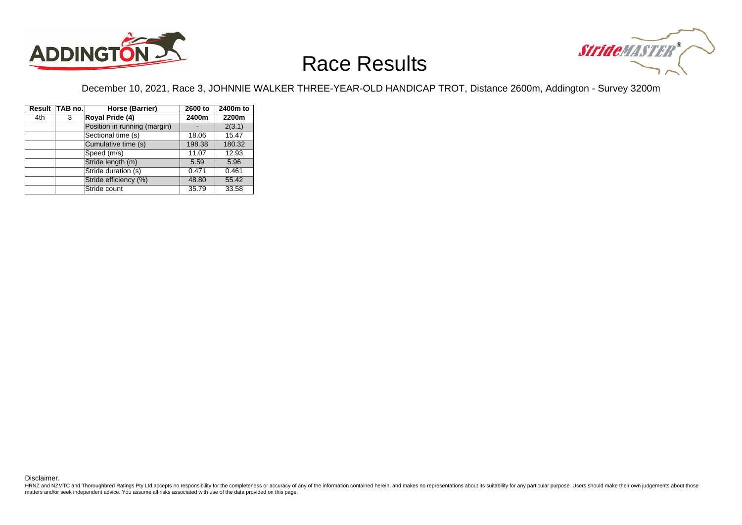



December 10, 2021, Race 3, JOHNNIE WALKER THREE-YEAR-OLD HANDICAP TROT, Distance 2600m, Addington - Survey 3200m

|     | Result TAB no. | Horse (Barrier)              | 2600 to | 2400m to |
|-----|----------------|------------------------------|---------|----------|
| 4th | 3              | Royal Pride (4)              | 2400m   | 2200m    |
|     |                | Position in running (margin) |         | 2(3.1)   |
|     |                | Sectional time (s)           | 18.06   | 15.47    |
|     |                | Cumulative time (s)          | 198.38  | 180.32   |
|     |                | Speed (m/s)                  | 11.07   | 12.93    |
|     |                | Stride length (m)            | 5.59    | 5.96     |
|     |                | Stride duration (s)          | 0.471   | 0.461    |
|     |                | Stride efficiency (%)        | 48.80   | 55.42    |
|     |                | Stride count                 | 35.79   | 33.58    |

Disclaimer.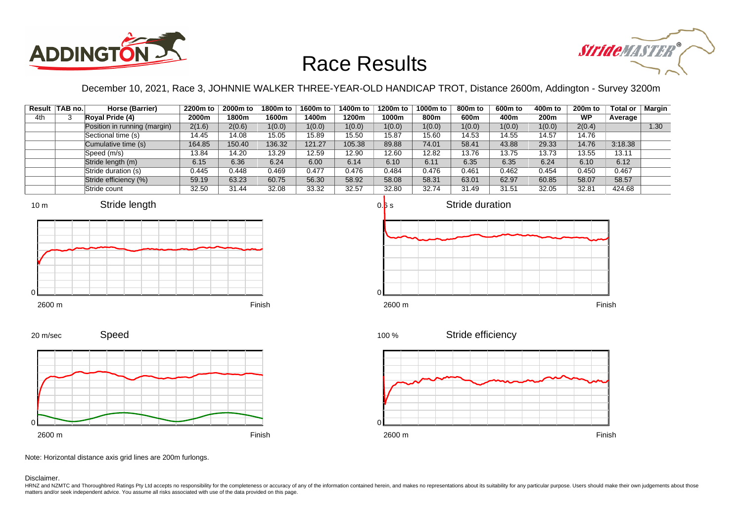



December 10, 2021, Race 3, JOHNNIE WALKER THREE-YEAR-OLD HANDICAP TROT, Distance 2600m, Addington - Survey 3200m

|     | Result TAB no. | Horse (Barrier)              | 2200m to | 2000m to | 1800m to | 1600m to | 1400m to | 1200m to | 1000m to | 800m to | 600m to | 400m to | 200 <sub>m</sub> to | Total or | <b>Margin</b> |
|-----|----------------|------------------------------|----------|----------|----------|----------|----------|----------|----------|---------|---------|---------|---------------------|----------|---------------|
| 4th |                | Royal Pride (4)              | 2000m    | 1800m    | 1600m    | 1400m    | 1200m    | 1000m    | 800m     | 600m    | 400m    | 200m    | <b>WP</b>           | Average  |               |
|     |                | Position in running (margin) | 2(1.6)   | 2(0.6)   | 1(0.0)   | 1(0.0)   | 1(0.0)   | 1(0.0)   | 1(0.0)   | 1(0.0)  | 1(0.0)  | 1(0.0)  | 2(0.4)              |          | 1.30          |
|     |                | Sectional time (s)           | 14.45    | 14.08    | 15.05    | 15.89    | 15.50    | 15.87    | 15.60    | 14.53   | 14.55   | 14.57   | 14.76               |          |               |
|     |                | Cumulative time (s)          | 164.85   | 150.40   | 136.32   | 121.27   | 105.38   | 89.88    | 74.01    | 58.41   | 43.88   | 29.33   | 14.76               | 3:18.38  |               |
|     |                | Speed (m/s)                  | 13.84    | 14.20    | 13.29    | 12.59    | 12.90    | 12.60    | 12.82    | 13.76   | 13.75   | 13.73   | 13.55               | 13.11    |               |
|     |                | Stride length (m)            | 6.15     | 6.36     | 6.24     | 6.00     | 6.14     | 6.10     | 6.11     | 6.35    | 6.35    | 6.24    | 6.10                | 6.12     |               |
|     |                | Stride duration (s)          | 0.445    | 0.448    | 0.469    | 0.477    | 0.476    | 0.484    | 0.476    | 0.461   | 0.462   | 0.454   | 0.450               | 0.467    |               |
|     |                | Stride efficiency (%)        | 59.19    | 63.23    | 60.75    | 56.30    | 58.92    | 58.08    | 58.31    | 63.01   | 62.97   | 60.85   | 58.07               | 58.57    |               |
|     |                | Stride count                 | 32.50    | 31.44    | 32.08    | 33.32    | 32.57    | 32.80    | 32.74    | 31.49   | 31.51   | 32.05   | 32.81               | 424.68   |               |







Speed 20 m/sec



2600 m Finish

Stride efficiency 100 %



Note: Horizontal distance axis grid lines are 200m furlongs.

Disclaimer.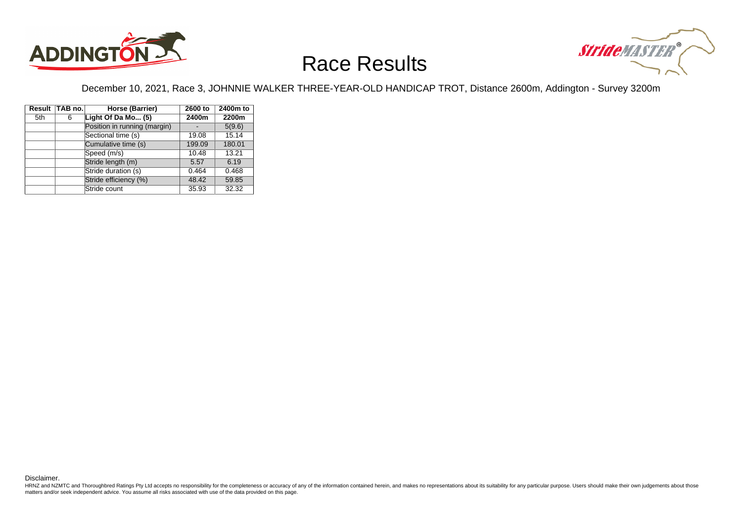



December 10, 2021, Race 3, JOHNNIE WALKER THREE-YEAR-OLD HANDICAP TROT, Distance 2600m, Addington - Survey 3200m

|     | Result TAB no. | Horse (Barrier)              | 2600 to | 2400m to |
|-----|----------------|------------------------------|---------|----------|
| 5th | 6              | Light Of Da Mo (5)           | 2400m   | 2200m    |
|     |                | Position in running (margin) |         | 5(9.6)   |
|     |                | Sectional time (s)           | 19.08   | 15.14    |
|     |                | Cumulative time (s)          | 199.09  | 180.01   |
|     |                | Speed (m/s)                  | 10.48   | 13.21    |
|     |                | Stride length (m)            | 5.57    | 6.19     |
|     |                | Stride duration (s)          | 0.464   | 0.468    |
|     |                | Stride efficiency (%)        | 48.42   | 59.85    |
|     |                | Stride count                 | 35.93   | 32.32    |

Disclaimer.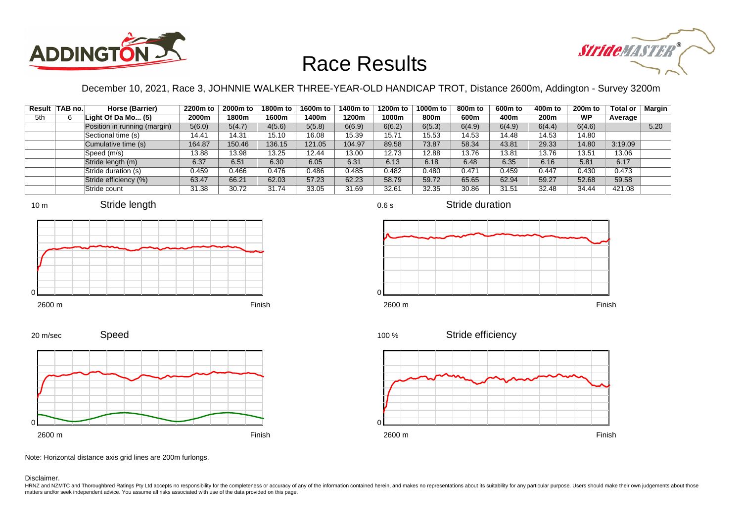



December 10, 2021, Race 3, JOHNNIE WALKER THREE-YEAR-OLD HANDICAP TROT, Distance 2600m, Addington - Survey 3200m

0.6 s

|     | Result   TAB no. | Horse (Barrier)              | 2200m to | 2000m to | 1800m to | 1600m to | 1400m to | 1200m to | 1000m to | 800m to | 600m to | 400m to | 200 <sub>m</sub> to | <b>Total or</b> | Margin |
|-----|------------------|------------------------------|----------|----------|----------|----------|----------|----------|----------|---------|---------|---------|---------------------|-----------------|--------|
| 5th |                  | Light Of Da Mo $(5)$         | 2000m    | 1800m    | 1600m    | 1400m    | 1200m    | 1000m    | 800m     | 600m    | 400m    | 200m    | <b>WP</b>           | Average         |        |
|     |                  | Position in running (margin) | 5(6.0)   | 5(4.7)   | 4(5.6)   | 5(5.8)   | 6(6.9)   | 6(6.2)   | 6(5.3)   | 6(4.9)  | 6(4.9)  | 6(4.4)  | 6(4.6)              |                 | 5.20   |
|     |                  | Sectional time (s)           | 14.41    | 14.31    | 15.10    | 16.08    | 15.39    | 15.71    | 15.53    | 14.53   | 14.48   | 14.53   | 14.80               |                 |        |
|     |                  | Cumulative time (s)          | 164.87   | 150.46   | 136.15   | 121.05   | 104.97   | 89.58    | 73.87    | 58.34   | 43.81   | 29.33   | 14.80               | 3:19.09         |        |
|     |                  | Speed (m/s)                  | 13.88    | 13.98    | 13.25    | 12.44    | 13.00    | 12.73    | 12.88    | 13.76   | 13.81   | 13.76   | 13.51               | 13.06           |        |
|     |                  | Stride length (m)            | 6.37     | 6.51     | 6.30     | 6.05     | 6.31     | 6.13     | 6.18     | 6.48    | 6.35    | 6.16    | 5.81                | 6.17            |        |
|     |                  | Stride duration (s)          | 0.459    | 0.466    | 0.476    | 0.486    | 0.485    | 0.482    | 0.480    | 0.471   | 0.459   | 0.447   | 0.430               | 0.473           |        |
|     |                  | Stride efficiency (%)        | 63.47    | 66.21    | 62.03    | 57.23    | 62.23    | 58.79    | 59.72    | 65.65   | 62.94   | 59.27   | 52.68               | 59.58           |        |
|     |                  | Stride count                 | 31.38    | 30.72    | 31.74    | 33.05    | 31.69    | 32.61    | 32.35    | 30.86   | 31.51   | 32.48   | 34.44               | 421.08          |        |













Speed







Note: Horizontal distance axis grid lines are 200m furlongs.

Disclaimer.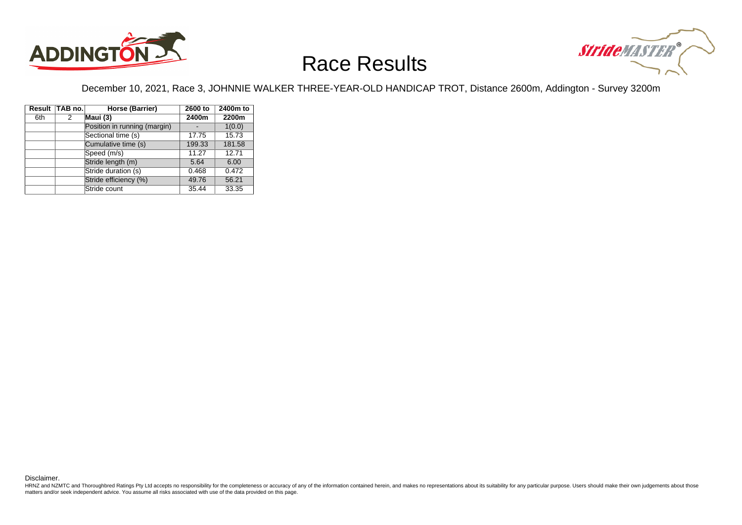



December 10, 2021, Race 3, JOHNNIE WALKER THREE-YEAR-OLD HANDICAP TROT, Distance 2600m, Addington - Survey 3200m

|     | Result TAB no. | Horse (Barrier)              | 2600 to | 2400m to |
|-----|----------------|------------------------------|---------|----------|
| 6th | 2              | Maui (3)                     | 2400m   | 2200m    |
|     |                | Position in running (margin) |         | 1(0.0)   |
|     |                | Sectional time (s)           | 17.75   | 15.73    |
|     |                | Cumulative time (s)          | 199.33  | 181.58   |
|     |                | Speed (m/s)                  | 11.27   | 12.71    |
|     |                | Stride length (m)            | 5.64    | 6.00     |
|     |                | Stride duration (s)          | 0.468   | 0.472    |
|     |                | Stride efficiency (%)        | 49.76   | 56.21    |
|     |                | Stride count                 | 35.44   | 33.35    |

Disclaimer.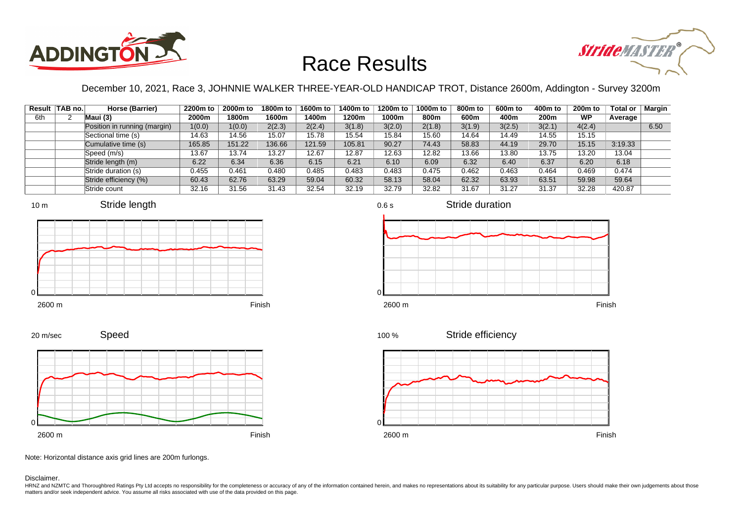



December 10, 2021, Race 3, JOHNNIE WALKER THREE-YEAR-OLD HANDICAP TROT, Distance 2600m, Addington - Survey 3200m

|     | Result TAB no. | Horse (Barrier)              | 2200m to | 2000m to | 1800m to | 1600m to | 1400m to | 1200m to | 1000m to | 800m to | 600m to | 400m to | 200 <sub>m</sub> to | Total or | <b>Margin</b> |
|-----|----------------|------------------------------|----------|----------|----------|----------|----------|----------|----------|---------|---------|---------|---------------------|----------|---------------|
| 6th |                | Maui (3)                     | 2000m    | 1800m    | 1600m    | 1400m    | 1200m    | 1000m    | 800m     | 600m    | 400m    | 200m    | <b>WP</b>           | Average  |               |
|     |                | Position in running (margin) | 1(0.0)   | 1(0.0)   | 2(2.3)   | 2(2.4)   | 3(1.8)   | 3(2.0)   | 2(1.8)   | 3(1.9)  | 3(2.5)  | 3(2.1)  | 4(2.4)              |          | 6.50          |
|     |                | Sectional time (s)           | 14.63    | 14.56    | 15.07    | 15.78    | 15.54    | 15.84    | 15.60    | 14.64   | 14.49   | 14.55   | 15.15               |          |               |
|     |                | Cumulative time (s)          | 165.85   | 151.22   | 136.66   | 121.59   | 105.81   | 90.27    | 74.43    | 58.83   | 44.19   | 29.70   | 15.15               | 3:19.33  |               |
|     |                | Speed (m/s)                  | 13.67    | 13.74    | 13.27    | 12.67    | 12.87    | 12.63    | 12.82    | 13.66   | 13.80   | 13.75   | 13.20               | 13.04    |               |
|     |                | Stride length (m)            | 6.22     | 6.34     | 6.36     | 6.15     | 6.21     | 6.10     | 6.09     | 6.32    | 6.40    | 6.37    | 6.20                | 6.18     |               |
|     |                | Stride duration (s)          | 0.455    | 0.461    | 0.480    | 0.485    | 0.483    | 0.483    | 0.475    | 0.462   | 0.463   | 0.464   | 0.469               | 0.474    |               |
|     |                | Stride efficiency (%)        | 60.43    | 62.76    | 63.29    | 59.04    | 60.32    | 58.13    | 58.04    | 62.32   | 63.93   | 63.51   | 59.98               | 59.64    |               |
|     |                | Stride count                 | 32.16    | 31.56    | 31.43    | 32.54    | 32.19    | 32.79    | 32.82    | 31.67   | 31.27   | 31.37   | 32.28               | 420.87   |               |









2600 m Finish







Stride efficiency 100 %



Note: Horizontal distance axis grid lines are 200m furlongs.

Disclaimer.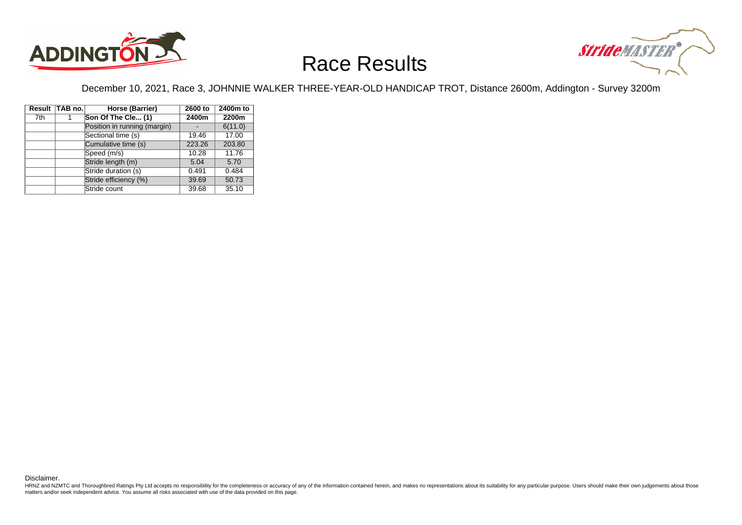



December 10, 2021, Race 3, JOHNNIE WALKER THREE-YEAR-OLD HANDICAP TROT, Distance 2600m, Addington - Survey 3200m

|     | Result TAB no. | Horse (Barrier)              | 2600 to | 2400m to |  |  |
|-----|----------------|------------------------------|---------|----------|--|--|
| 7th |                | Son Of The Cle (1)           | 2400m   | 2200m    |  |  |
|     |                | Position in running (margin) |         | 6(11.0)  |  |  |
|     |                | Sectional time (s)           | 19.46   | 17.00    |  |  |
|     |                | Cumulative time (s)          | 223.26  | 203.80   |  |  |
|     |                | Speed (m/s)                  | 10.28   | 11.76    |  |  |
|     |                | Stride length (m)            | 5.04    | 5.70     |  |  |
|     |                | Stride duration (s)          | 0.491   | 0.484    |  |  |
|     |                | Stride efficiency (%)        | 39.69   | 50.73    |  |  |
|     |                | Stride count                 | 39.68   | 35.10    |  |  |

Disclaimer.